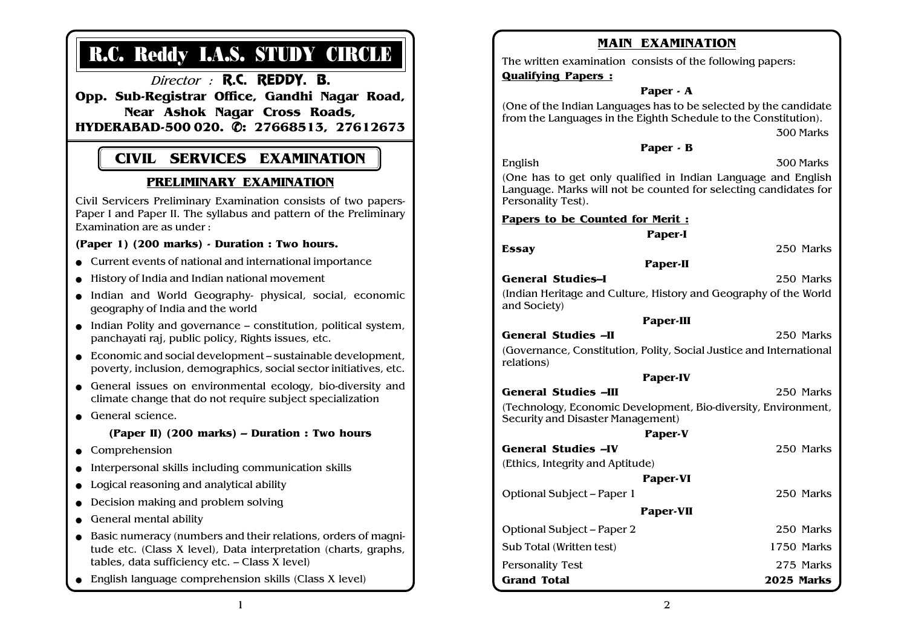# R.C. Reddy I.A.S. STUDY CIRCLE

Director : **R.C. REDDY. B.** 

Opp. Sub-Registrar Office, Gandhi Nagar Road, Near Ashok Nagar Cross Roads, HYDERABAD-500 020. ✆: 27668513, 27612673

## CIVIL SERVICES EXAMINATION

### PRELIMINARY EXAMINATION

Civil Servicers Preliminary Examination consists of two papers-Paper I and Paper II. The syllabus and pattern of the Preliminary Examination are as under :

#### (Paper 1) (200 marks) - Duration : Two hours.

- Current events of national and international importance
- History of India and Indian national movement
- Indian and World Geography- physical, social, economic geography of India and the world
- Indian Polity and governance constitution, political system, panchayati raj, public policy, Rights issues, etc.
- $\bullet$  Economic and social development sustainable development. poverty, inclusion, demographics, social sector initiatives, etc.
- General issues on environmental ecology, bio-diversity and climate change that do not require subject specialization
- General science.

#### (Paper II) (200 marks) – Duration : Two hours

- Comprehension
- Interpersonal skills including communication skills
- Logical reasoning and analytical ability
- Decision making and problem solving
- General mental ability
- Basic numeracy (numbers and their relations, orders of magnitude etc. (Class X level), Data interpretation (charts, graphs, tables, data sufficiency etc. – Class X level)
- English language comprehension skills (Class X level)

| <b>MAIN EXAMINATION</b>                                                                                                                                 |            |
|---------------------------------------------------------------------------------------------------------------------------------------------------------|------------|
| The written examination consists of the following papers:                                                                                               |            |
| <b>Qualifying Papers:</b>                                                                                                                               |            |
| Paper - A                                                                                                                                               |            |
| (One of the Indian Languages has to be selected by the candidate<br>from the Languages in the Eighth Schedule to the Constitution).<br>300 Marks        |            |
| Paper - B                                                                                                                                               |            |
| English                                                                                                                                                 | 300 Marks  |
| (One has to get only qualified in Indian Language and English<br>Language. Marks will not be counted for selecting candidates for<br>Personality Test). |            |
| Papers to be Counted for Merit :                                                                                                                        |            |
| Paper-I                                                                                                                                                 |            |
| <b>Essay</b>                                                                                                                                            | 250 Marks  |
| Paper-II                                                                                                                                                |            |
| <b>General Studies-I</b>                                                                                                                                | 250 Marks  |
| (Indian Heritage and Culture, History and Geography of the World<br>and Society)                                                                        |            |
| Paper-III                                                                                                                                               |            |
| <b>General Studies -II</b>                                                                                                                              | 250 Marks  |
| (Governance, Constitution, Polity, Social Justice and International<br>relations)                                                                       |            |
| Paper-IV                                                                                                                                                |            |
| <b>General Studies -III</b>                                                                                                                             | 250 Marks  |
| (Technology, Economic Development, Bio-diversity, Environment,<br>Security and Disaster Management)                                                     |            |
| Paper-V                                                                                                                                                 |            |
| <b>General Studies -IV</b>                                                                                                                              | 250 Marks  |
| (Ethics, Integrity and Aptitude)                                                                                                                        |            |
| Paper-VI                                                                                                                                                |            |
| Optional Subject - Paper 1                                                                                                                              | 250 Marks  |
| Paper-VII                                                                                                                                               |            |
| Optional Subject - Paper 2                                                                                                                              | 250 Marks  |
| Sub Total (Written test)                                                                                                                                | 1750 Marks |
| <b>Personality Test</b>                                                                                                                                 | 275 Marks  |
| <b>Grand Total</b>                                                                                                                                      | 2025 Marks |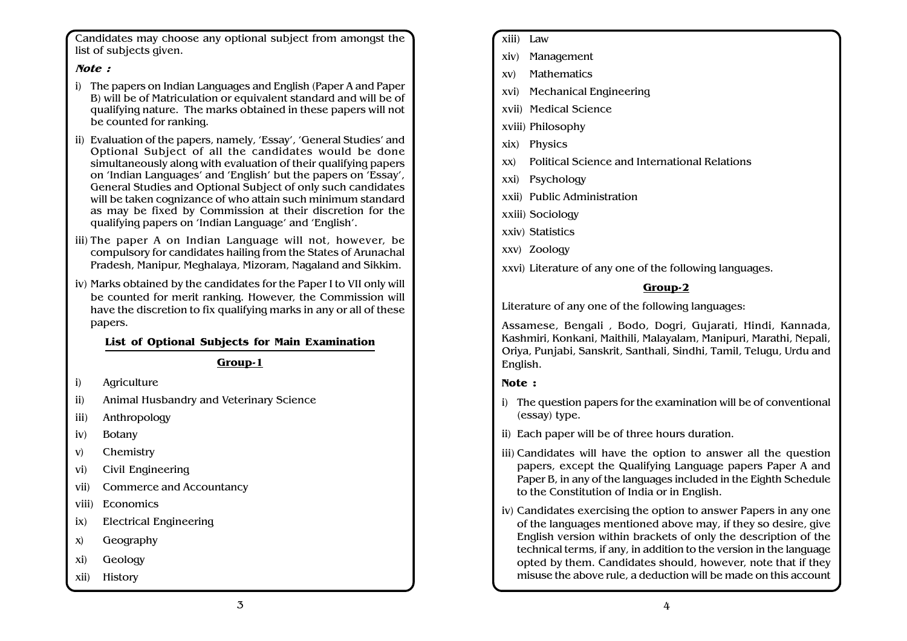Candidates may choose any optional subject from amongst the list of subjects given.

#### Note :

- i) The papers on Indian Languages and English (Paper A and Paper B) will be of Matriculation or equivalent standard and will be of qualifying nature. The marks obtained in these papers will not be counted for ranking.
- ii) Evaluation of the papers, namely, 'Essay', 'General Studies' and Optional Subject of all the candidates would be done simultaneously along with evaluation of their qualifying papers on 'Indian Languages' and 'English' but the papers on 'Essay', General Studies and Optional Subject of only such candidates will be taken cognizance of who attain such minimum standard as may be fixed by Commission at their discretion for the qualifying papers on 'Indian Language' and 'English'.
- iii) The paper A on Indian Language will not, however, be compulsory for candidates hailing from the States of Arunachal Pradesh, Manipur, Meghalaya, Mizoram, Nagaland and Sikkim.
- iv) Marks obtained by the candidates for the Paper I to VII only will be counted for merit ranking. However, the Commission will have the discretion to fix qualifying marks in any or all of these papers.

#### List of Optional Subjects for Main Examination

#### Group-1

- i) Agriculture
- ii) Animal Husbandry and Veterinary Science
- iii) Anthropology
- iv) Botany
- v) Chemistry
- vi) Civil Engineering
- vii) Commerce and Accountancy
- viii) Economics
- ix) Electrical Engineering
- x) Geography
- xi) Geology
- xii) History
- xiii) Law
- xiv) Management
- xv) Mathematics
- xvi) Mechanical Engineering
- xvii) Medical Science
- xviii) Philosophy
- xix) Physics
- xx) Political Science and International Relations
- xxi) Psychology
- xxii) Public Administration
- xxiii) Sociology
- xxiv) Statistics
- xxv) Zoology

xxvi) Literature of any one of the following languages.

#### Group-2

Literature of any one of the following languages:

Assamese, Bengali , Bodo, Dogri, Gujarati, Hindi, Kannada, Kashmiri, Konkani, Maithili, Malayalam, Manipuri, Marathi, Nepali, Oriya, Punjabi, Sanskrit, Santhali, Sindhi, Tamil, Telugu, Urdu and English.

#### Note :

- i) The question papers for the examination will be of conventional (essay) type.
- ii) Each paper will be of three hours duration.
- iii) Candidates will have the option to answer all the question papers, except the Qualifying Language papers Paper A and Paper B, in any of the languages included in the Eighth Schedule to the Constitution of India or in English.
- iv) Candidates exercising the option to answer Papers in any one of the languages mentioned above may, if they so desire, give English version within brackets of only the description of the technical terms, if any, in addition to the version in the language opted by them. Candidates should, however, note that if they misuse the above rule, a deduction will be made on this account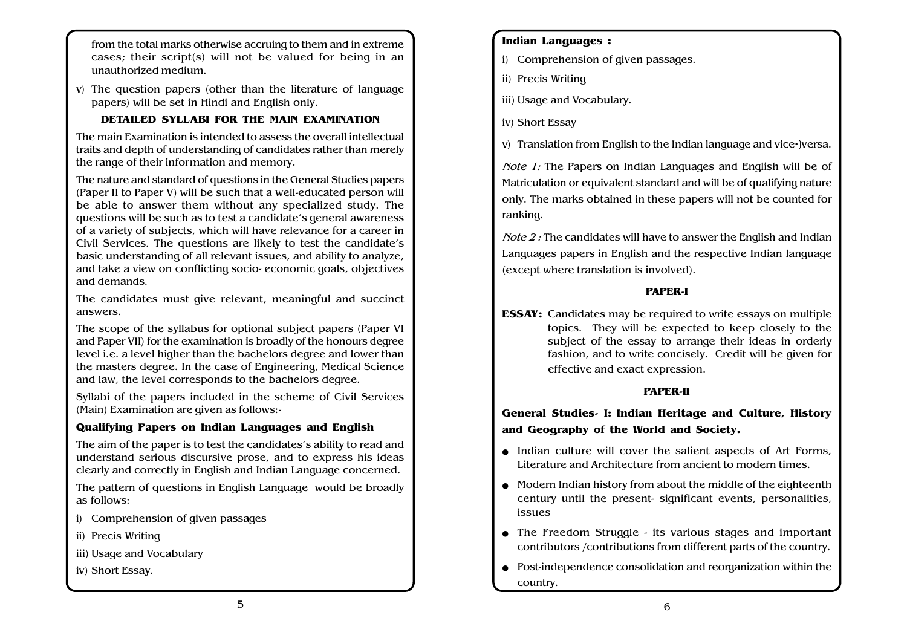from the total marks otherwise accruing to them and in extreme cases; their script(s) will not be valued for being in an unauthorized medium.

v) The question papers (other than the literature of language papers) will be set in Hindi and English only.

#### DETAILED SYLLABI FOR THE MAIN EXAMINATION

The main Examination is intended to assess the overall intellectual traits and depth of understanding of candidates rather than merely the range of their information and memory.

The nature and standard of questions in the General Studies papers (Paper II to Paper V) will be such that a well-educated person will be able to answer them without any specialized study. The questions will be such as to test a candidate's general awareness of a variety of subjects, which will have relevance for a career in Civil Services. The questions are likely to test the candidate's basic understanding of all relevant issues, and ability to analyze, and take a view on conflicting socio- economic goals, objectives and demands.

The candidates must give relevant, meaningful and succinct answers.

The scope of the syllabus for optional subject papers (Paper VI and Paper VII) for the examination is broadly of the honours degree level i.e. a level higher than the bachelors degree and lower than the masters degree. In the case of Engineering, Medical Science and law, the level corresponds to the bachelors degree.

Syllabi of the papers included in the scheme of Civil Services (Main) Examination are given as follows:-

#### Qualifying Papers on Indian Languages and English

The aim of the paper is to test the candidates's ability to read and understand serious discursive prose, and to express his ideas clearly and correctly in English and Indian Language concerned.

The pattern of questions in English Language would be broadly as follows:

- i) Comprehension of given passages
- ii) Precis Writing
- iii) Usage and Vocabulary

iv) Short Essay.

#### Indian Languages :

- i) Comprehension of given passages.
- ii) Precis Writing
- iii) Usage and Vocabulary.
- iv) Short Essay

v) Translation from English to the Indian language and vice•]versa.

Note 1: The Papers on Indian Languages and English will be of Matriculation or equivalent standard and will be of qualifying nature only. The marks obtained in these papers will not be counted for ranking.

Note 2 : The candidates will have to answer the English and Indian Languages papers in English and the respective Indian language (except where translation is involved).

#### PAPER-I

ESSAY: Candidates may be required to write essays on multiple topics. They will be expected to keep closely to the subject of the essay to arrange their ideas in orderly fashion, and to write concisely. Credit will be given for effective and exact expression.

#### PAPER-II

General Studies- I: Indian Heritage and Culture, History and Geography of the World and Society.

- Indian culture will cover the salient aspects of Art Forms, Literature and Architecture from ancient to modern times.
- Modern Indian history from about the middle of the eighteenth century until the present- significant events, personalities, issues
- The Freedom Struggle its various stages and important contributors /contributions from different parts of the country.
- Post-independence consolidation and reorganization within the country.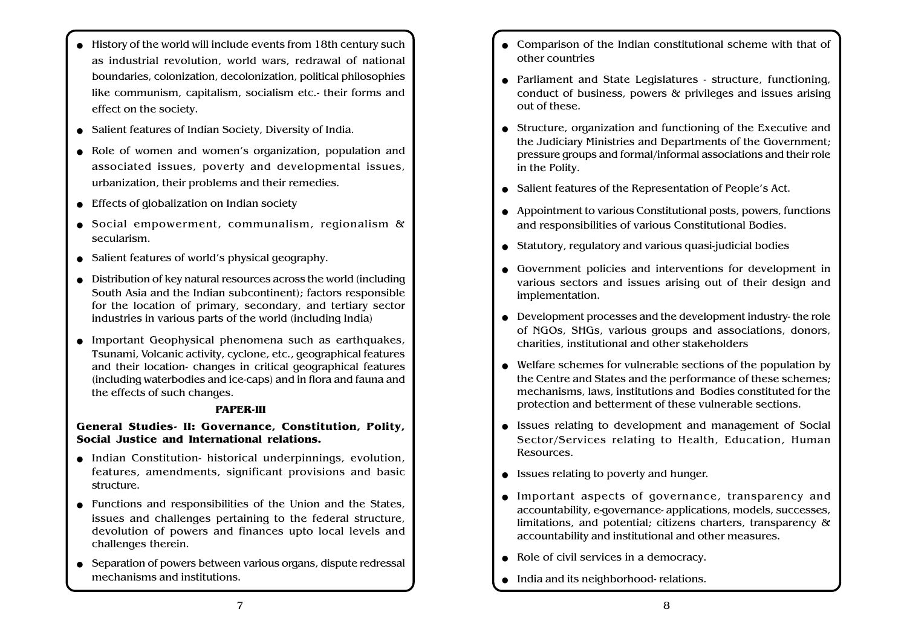- History of the world will include events from 18th century such as industrial revolution, world wars, redrawal of national boundaries, colonization, decolonization, political philosophies like communism, capitalism, socialism etc.- their forms and effect on the society.
- Salient features of Indian Society, Diversity of India.
- Role of women and women's organization, population and associated issues, poverty and developmental issues, urbanization, their problems and their remedies.
- Effects of globalization on Indian society
- Social empowerment, communalism, regionalism & secularism.
- Salient features of world's physical geography.
- Distribution of key natural resources across the world (including South Asia and the Indian subcontinent); factors responsible for the location of primary, secondary, and tertiary sector industries in various parts of the world (including India)
- Important Geophysical phenomena such as earthquakes, Tsunami, Volcanic activity, cyclone, etc., geographical features and their location- changes in critical geographical features (including waterbodies and ice-caps) and in flora and fauna and the effects of such changes.

#### PAPER-III

#### General Studies- II: Governance, Constitution, Polity, Social Justice and International relations.

- Indian Constitution- historical underpinnings, evolution, features, amendments, significant provisions and basic structure.
- Functions and responsibilities of the Union and the States, issues and challenges pertaining to the federal structure, devolution of powers and finances upto local levels and challenges therein.
- Separation of powers between various organs, dispute redressal mechanisms and institutions.
- Comparison of the Indian constitutional scheme with that of other countries
- Parliament and State Legislatures structure, functioning, conduct of business, powers & privileges and issues arising out of these.
- Structure, organization and functioning of the Executive and the Judiciary Ministries and Departments of the Government; pressure groups and formal/informal associations and their role in the Polity.
- Salient features of the Representation of People's Act.
- Appointment to various Constitutional posts, powers, functions and responsibilities of various Constitutional Bodies.
- Statutory, regulatory and various quasi-judicial bodies
- Government policies and interventions for development in various sectors and issues arising out of their design and implementation.
- Development processes and the development industry- the role of NGOs, SHGs, various groups and associations, donors, charities, institutional and other stakeholders
- Welfare schemes for vulnerable sections of the population by the Centre and States and the performance of these schemes; mechanisms, laws, institutions and Bodies constituted for the protection and betterment of these vulnerable sections.
- Issues relating to development and management of Social Sector/Services relating to Health, Education, Human Resources.
- Issues relating to poverty and hunger.
- Important aspects of governance, transparency and accountability, e-governance- applications, models, successes, limitations, and potential; citizens charters, transparency & accountability and institutional and other measures.
- Role of civil services in a democracy.
- India and its neighborhood- relations.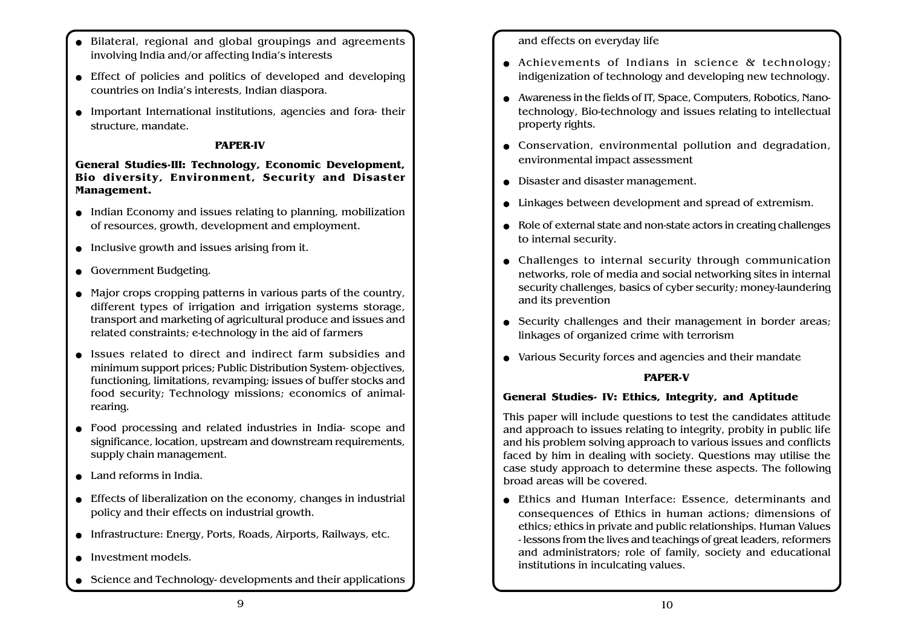- Bilateral, regional and global groupings and agreements involving India and/or affecting India's interests
- Effect of policies and politics of developed and developing countries on India's interests, Indian diaspora.
- Important International institutions, agencies and fora- their structure, mandate.

#### PAPER-IV

#### General Studies-III: Technology, Economic Development, Bio diversity, Environment, Security and Disaster Management.

- Indian Economy and issues relating to planning, mobilization of resources, growth, development and employment.
- Inclusive growth and issues arising from it.
- Government Budgeting.
- Major crops cropping patterns in various parts of the country, different types of irrigation and irrigation systems storage, transport and marketing of agricultural produce and issues and related constraints; e-technology in the aid of farmers
- Issues related to direct and indirect farm subsidies and minimum support prices; Public Distribution System- objectives, functioning, limitations, revamping; issues of buffer stocks and food security; Technology missions; economics of animalrearing.
- Food processing and related industries in India- scope and significance, location, upstream and downstream requirements, supply chain management.
- Land reforms in India.
- Effects of liberalization on the economy, changes in industrial policy and their effects on industrial growth.
- Infrastructure: Energy, Ports, Roads, Airports, Railways, etc.
- Investment models.
- Science and Technology- developments and their applications

#### and effects on everyday life

- Achievements of Indians in science & technology; indigenization of technology and developing new technology.
- Awareness in the fields of IT, Space, Computers, Robotics, Nanotechnology, Bio-technology and issues relating to intellectual property rights.
- Conservation, environmental pollution and degradation, environmental impact assessment
- Disaster and disaster management.
- Linkages between development and spread of extremism.
- Role of external state and non-state actors in creating challenges to internal security.
- Challenges to internal security through communication networks, role of media and social networking sites in internal security challenges, basics of cyber security; money-laundering and its prevention
- Security challenges and their management in border areas; linkages of organized crime with terrorism
- Various Security forces and agencies and their mandate

#### PAPER-V

#### General Studies- IV: Ethics, Integrity, and Aptitude

This paper will include questions to test the candidates attitude and approach to issues relating to integrity, probity in public life and his problem solving approach to various issues and conflicts faced by him in dealing with society. Questions may utilise the case study approach to determine these aspects. The following broad areas will be covered.

● Ethics and Human Interface: Essence, determinants and consequences of Ethics in human actions; dimensions of ethics; ethics in private and public relationships. Human Values - lessons from the lives and teachings of great leaders, reformers and administrators; role of family, society and educational institutions in inculcating values.